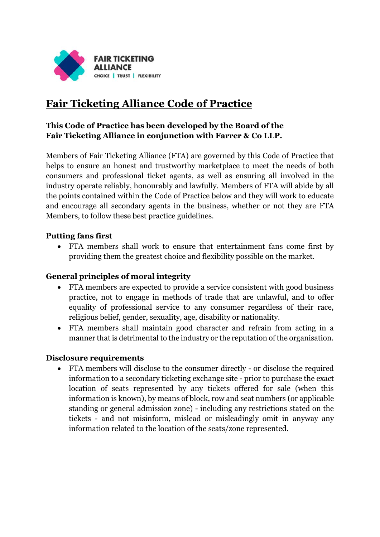

# **Fair Ticketing Alliance Code of Practice**

# **This Code of Practice has been developed by the Board of the Fair Ticketing Alliance in conjunction with Farrer & Co LLP.**

Members of Fair Ticketing Alliance (FTA) are governed by this Code of Practice that helps to ensure an honest and trustworthy marketplace to meet the needs of both consumers and professional ticket agents, as well as ensuring all involved in the industry operate reliably, honourably and lawfully. Members of FTA will abide by all the points contained within the Code of Practice below and they will work to educate and encourage all secondary agents in the business, whether or not they are FTA Members, to follow these best practice guidelines.

# **Putting fans first**

• FTA members shall work to ensure that entertainment fans come first by providing them the greatest choice and flexibility possible on the market.

# **General principles of moral integrity**

- FTA members are expected to provide a service consistent with good business practice, not to engage in methods of trade that are unlawful, and to offer equality of professional service to any consumer regardless of their race, religious belief, gender, sexuality, age, disability or nationality.
- FTA members shall maintain good character and refrain from acting in a manner that is detrimental to the industry or the reputation of the organisation.

#### **Disclosure requirements**

• FTA members will disclose to the consumer directly - or disclose the required information to a secondary ticketing exchange site - prior to purchase the exact location of seats represented by any tickets offered for sale (when this information is known), by means of block, row and seat numbers (or applicable standing or general admission zone) - including any restrictions stated on the tickets - and not misinform, mislead or misleadingly omit in anyway any information related to the location of the seats/zone represented.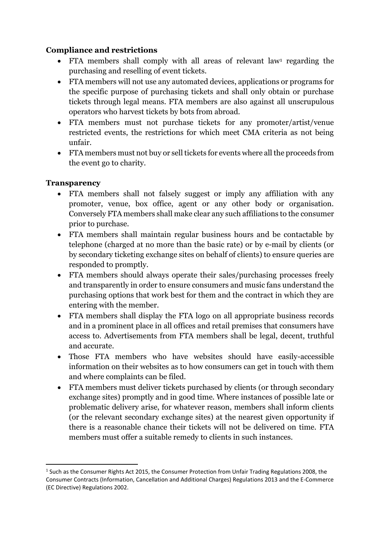# **Compliance and restrictions**

- FTA members shall comply with all areas of relevant law<sup>1</sup> regarding the purchasing and reselling of event tickets.
- FTA members will not use any automated devices, applications or programs for the specific purpose of purchasing tickets and shall only obtain or purchase tickets through legal means. FTA members are also against all unscrupulous operators who harvest tickets by bots from abroad.
- FTA members must not purchase tickets for any promoter/artist/venue restricted events, the restrictions for which meet CMA criteria as not being unfair.
- FTA members must not buy or sell tickets for events where all the proceeds from the event go to charity.

# **Transparency**

**.** 

- FTA members shall not falsely suggest or imply any affiliation with any promoter, venue, box office, agent or any other body or organisation. Conversely FTA members shall make clear any such affiliations to the consumer prior to purchase.
- FTA members shall maintain regular business hours and be contactable by telephone (charged at no more than the basic rate) or by e-mail by clients (or by secondary ticketing exchange sites on behalf of clients) to ensure queries are responded to promptly.
- FTA members should always operate their sales/purchasing processes freely and transparently in order to ensure consumers and music fans understand the purchasing options that work best for them and the contract in which they are entering with the member.
- FTA members shall display the FTA logo on all appropriate business records and in a prominent place in all offices and retail premises that consumers have access to. Advertisements from FTA members shall be legal, decent, truthful and accurate.
- Those FTA members who have websites should have easily-accessible information on their websites as to how consumers can get in touch with them and where complaints can be filed.
- FTA members must deliver tickets purchased by clients (or through secondary exchange sites) promptly and in good time. Where instances of possible late or problematic delivery arise, for whatever reason, members shall inform clients (or the relevant secondary exchange sites) at the nearest given opportunity if there is a reasonable chance their tickets will not be delivered on time. FTA members must offer a suitable remedy to clients in such instances.

<sup>&</sup>lt;sup>1</sup> Such as the Consumer Rights Act 2015, the Consumer Protection from Unfair Trading Regulations 2008, the Consumer Contracts (Information, Cancellation and Additional Charges) Regulations 2013 and the E-Commerce (EC Directive) Regulations 2002.